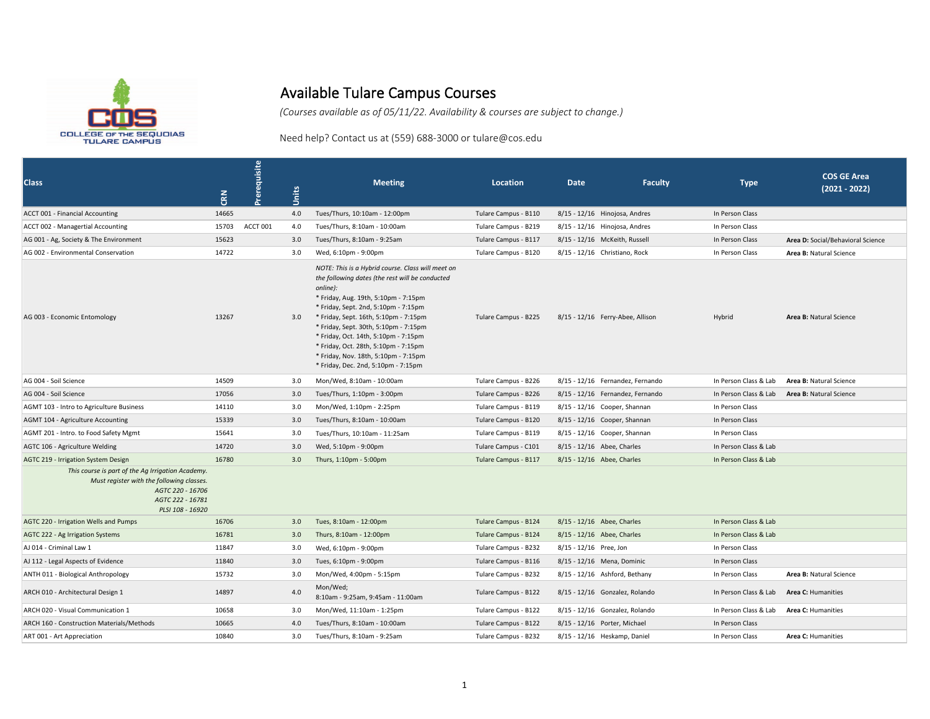

## Available Tulare Campus Courses

*(Courses available as of 05/11/22. Availability & courses are subject to change.)*

Need help? Contact us at (559) 688-3000 or tulare@cos.edu

| <b>Class</b>                                                                                                                                               | <b>CRN</b> | Prerequisite | Units | <b>Meeting</b>                                                                                                                                                                                                                                                                                                                                                                                                                                    | <b>Location</b>      | <b>Date</b>            | <b>Faculty</b>                   | <b>Type</b>           | <b>COS GE Area</b><br>$(2021 - 2022)$ |
|------------------------------------------------------------------------------------------------------------------------------------------------------------|------------|--------------|-------|---------------------------------------------------------------------------------------------------------------------------------------------------------------------------------------------------------------------------------------------------------------------------------------------------------------------------------------------------------------------------------------------------------------------------------------------------|----------------------|------------------------|----------------------------------|-----------------------|---------------------------------------|
| ACCT 001 - Financial Accounting                                                                                                                            | 14665      |              | 4.0   | Tues/Thurs, 10:10am - 12:00pm                                                                                                                                                                                                                                                                                                                                                                                                                     | Tulare Campus - B110 |                        | 8/15 - 12/16 Hinojosa, Andres    | In Person Class       |                                       |
| ACCT 002 - Managertial Accounting                                                                                                                          | 15703      | ACCT 001     | 4.0   | Tues/Thurs, 8:10am - 10:00am                                                                                                                                                                                                                                                                                                                                                                                                                      | Tulare Campus - B219 |                        | 8/15 - 12/16 Hinojosa, Andres    | In Person Class       |                                       |
| AG 001 - Ag, Society & The Environment                                                                                                                     | 15623      |              | 3.0   | Tues/Thurs, 8:10am - 9:25am                                                                                                                                                                                                                                                                                                                                                                                                                       | Tulare Campus - B117 |                        | 8/15 - 12/16 McKeith, Russell    | In Person Class       | Area D: Social/Behavioral Science     |
| AG 002 - Environmental Conservation                                                                                                                        | 14722      |              | 3.0   | Wed, 6:10pm - 9:00pm                                                                                                                                                                                                                                                                                                                                                                                                                              | Tulare Campus - B120 |                        | 8/15 - 12/16 Christiano, Rock    | In Person Class       | Area B: Natural Science               |
| AG 003 - Economic Entomology                                                                                                                               | 13267      |              | 3.0   | NOTE: This is a Hybrid course. Class will meet on<br>the following dates (the rest will be conducted<br>online):<br>* Friday, Aug. 19th, 5:10pm - 7:15pm<br>* Friday, Sept. 2nd, 5:10pm - 7:15pm<br>* Friday, Sept. 16th, 5:10pm - 7:15pm<br>* Friday, Sept. 30th, 5:10pm - 7:15pm<br>* Friday, Oct. 14th, 5:10pm - 7:15pm<br>* Friday, Oct. 28th, 5:10pm - 7:15pm<br>* Friday, Nov. 18th, 5:10pm - 7:15pm<br>* Friday, Dec. 2nd, 5:10pm - 7:15pm | Tulare Campus - B225 |                        | 8/15 - 12/16 Ferry-Abee, Allison | Hybrid                | Area B: Natural Science               |
| AG 004 - Soil Science                                                                                                                                      | 14509      |              | 3.0   | Mon/Wed, 8:10am - 10:00am                                                                                                                                                                                                                                                                                                                                                                                                                         | Tulare Campus - B226 |                        | 8/15 - 12/16 Fernandez, Fernando | In Person Class & Lab | Area B: Natural Science               |
| AG 004 - Soil Science                                                                                                                                      | 17056      |              | 3.0   | Tues/Thurs, 1:10pm - 3:00pm                                                                                                                                                                                                                                                                                                                                                                                                                       | Tulare Campus - B226 |                        | 8/15 - 12/16 Fernandez, Fernando | In Person Class & Lab | Area B: Natural Science               |
| AGMT 103 - Intro to Agriculture Business                                                                                                                   | 14110      |              | 3.0   | Mon/Wed, 1:10pm - 2:25pm                                                                                                                                                                                                                                                                                                                                                                                                                          | Tulare Campus - B119 |                        | 8/15 - 12/16 Cooper, Shannan     | In Person Class       |                                       |
| AGMT 104 - Agriculture Accounting                                                                                                                          | 15339      |              | 3.0   | Tues/Thurs, 8:10am - 10:00am                                                                                                                                                                                                                                                                                                                                                                                                                      | Tulare Campus - B120 |                        | 8/15 - 12/16 Cooper, Shannan     | In Person Class       |                                       |
| AGMT 201 - Intro. to Food Safety Mgmt                                                                                                                      | 15641      |              | 3.0   | Tues/Thurs, 10:10am - 11:25am                                                                                                                                                                                                                                                                                                                                                                                                                     | Tulare Campus - B119 |                        | 8/15 - 12/16 Cooper, Shannan     | In Person Class       |                                       |
| AGTC 106 - Agriculture Welding                                                                                                                             | 14720      |              | 3.0   | Wed, 5:10pm - 9:00pm                                                                                                                                                                                                                                                                                                                                                                                                                              | Tulare Campus - C101 |                        | 8/15 - 12/16 Abee, Charles       | In Person Class & Lab |                                       |
| AGTC 219 - Irrigation System Design                                                                                                                        | 16780      |              | 3.0   | Thurs, 1:10pm - 5:00pm                                                                                                                                                                                                                                                                                                                                                                                                                            | Tulare Campus - B117 |                        | 8/15 - 12/16 Abee, Charles       | In Person Class & Lab |                                       |
| This course is part of the Ag Irrigation Academy.<br>Must register with the following classes.<br>AGTC 220 - 16706<br>AGTC 222 - 16781<br>PLSI 108 - 16920 |            |              |       |                                                                                                                                                                                                                                                                                                                                                                                                                                                   |                      |                        |                                  |                       |                                       |
| AGTC 220 - Irrigation Wells and Pumps                                                                                                                      | 16706      |              | 3.0   | Tues, 8:10am - 12:00pm                                                                                                                                                                                                                                                                                                                                                                                                                            | Tulare Campus - B124 |                        | 8/15 - 12/16 Abee, Charles       | In Person Class & Lab |                                       |
| AGTC 222 - Ag Irrigation Systems                                                                                                                           | 16781      |              | 3.0   | Thurs, 8:10am - 12:00pm                                                                                                                                                                                                                                                                                                                                                                                                                           | Tulare Campus - B124 |                        | 8/15 - 12/16 Abee, Charles       | In Person Class & Lab |                                       |
| AJ 014 - Criminal Law 1                                                                                                                                    | 11847      |              | 3.0   | Wed, 6:10pm - 9:00pm                                                                                                                                                                                                                                                                                                                                                                                                                              | Tulare Campus - B232 | 8/15 - 12/16 Pree, Jon |                                  | In Person Class       |                                       |
| AJ 112 - Legal Aspects of Evidence                                                                                                                         | 11840      |              | 3.0   | Tues, 6:10pm - 9:00pm                                                                                                                                                                                                                                                                                                                                                                                                                             | Tulare Campus - B116 |                        | 8/15 - 12/16 Mena, Dominic       | In Person Class       |                                       |
| ANTH 011 - Biological Anthropology                                                                                                                         | 15732      |              | 3.0   | Mon/Wed, 4:00pm - 5:15pm                                                                                                                                                                                                                                                                                                                                                                                                                          | Tulare Campus - B232 |                        | 8/15 - 12/16 Ashford, Bethany    | In Person Class       | Area B: Natural Science               |
| ARCH 010 - Architectural Design 1                                                                                                                          | 14897      |              | 4.0   | Mon/Wed;<br>8:10am - 9:25am, 9:45am - 11:00am                                                                                                                                                                                                                                                                                                                                                                                                     | Tulare Campus - B122 |                        | 8/15 - 12/16 Gonzalez, Rolando   | In Person Class & Lab | Area C: Humanities                    |
| ARCH 020 - Visual Communication 1                                                                                                                          | 10658      |              | 3.0   | Mon/Wed, 11:10am - 1:25pm                                                                                                                                                                                                                                                                                                                                                                                                                         | Tulare Campus - B122 |                        | 8/15 - 12/16 Gonzalez, Rolando   | In Person Class & Lab | Area C: Humanities                    |
| ARCH 160 - Construction Materials/Methods                                                                                                                  | 10665      |              | 4.0   | Tues/Thurs, 8:10am - 10:00am                                                                                                                                                                                                                                                                                                                                                                                                                      | Tulare Campus - B122 |                        | 8/15 - 12/16 Porter, Michael     | In Person Class       |                                       |
| ART 001 - Art Appreciation                                                                                                                                 | 10840      |              | 3.0   | Tues/Thurs, 8:10am - 9:25am                                                                                                                                                                                                                                                                                                                                                                                                                       | Tulare Campus - B232 |                        | 8/15 - 12/16 Heskamp, Daniel     | In Person Class       | <b>Area C: Humanities</b>             |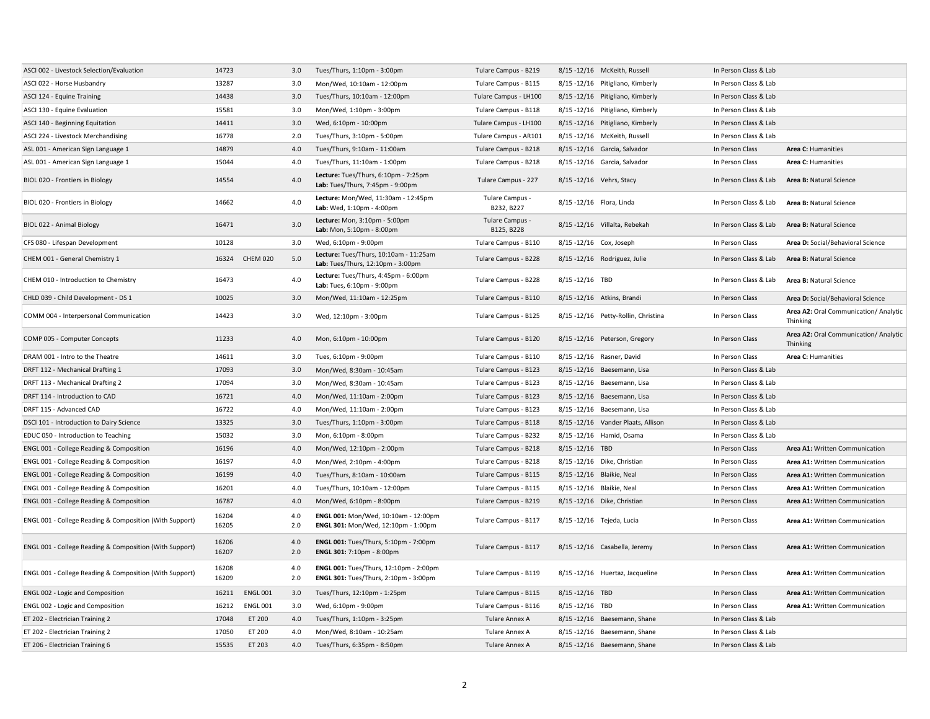| ASCI 002 - Livestock Selection/Evaluation               | 14723          |                 | 3.0        | Tues/Thurs, 1:10pm - 3:00pm                                                     | Tulare Campus - B219          |                          | 8/15 -12/16 McKeith, Russell        | In Person Class & Lab |                                                   |
|---------------------------------------------------------|----------------|-----------------|------------|---------------------------------------------------------------------------------|-------------------------------|--------------------------|-------------------------------------|-----------------------|---------------------------------------------------|
| ASCI 022 - Horse Husbandry                              | 13287          |                 | 3.0        | Mon/Wed, 10:10am - 12:00pm                                                      | Tulare Campus - B115          |                          | 8/15 -12/16 Pitigliano, Kimberly    | In Person Class & Lab |                                                   |
| ASCI 124 - Equine Training                              | 14438          |                 | 3.0        | Tues/Thurs, 10:10am - 12:00pm                                                   | Tulare Campus - LH100         |                          | 8/15 -12/16 Pitigliano, Kimberly    | In Person Class & Lab |                                                   |
| ASCI 130 - Equine Evaluation                            | 15581          |                 | 3.0        | Mon/Wed, 1:10pm - 3:00pm                                                        | Tulare Campus - B118          |                          | 8/15 -12/16 Pitigliano, Kimberly    | In Person Class & Lab |                                                   |
| ASCI 140 - Beginning Equitation                         | 14411          |                 | 3.0        | Wed, 6:10pm - 10:00pm                                                           | Tulare Campus - LH100         |                          | 8/15 -12/16 Pitigliano, Kimberly    | In Person Class & Lab |                                                   |
| ASCI 224 - Livestock Merchandising                      | 16778          |                 | 2.0        | Tues/Thurs, 3:10pm - 5:00pm                                                     | Tulare Campus - AR101         |                          | 8/15 -12/16 McKeith, Russell        | In Person Class & Lab |                                                   |
| ASL 001 - American Sign Language 1                      | 14879          |                 | 4.0        | Tues/Thurs, 9:10am - 11:00am                                                    | Tulare Campus - B218          |                          | 8/15 -12/16 Garcia, Salvador        | In Person Class       | <b>Area C: Humanities</b>                         |
| ASL 001 - American Sign Language 1                      | 15044          |                 | 4.0        | Tues/Thurs, 11:10am - 1:00pm                                                    | Tulare Campus - B218          |                          | 8/15 -12/16 Garcia, Salvador        | In Person Class       | Area C: Humanities                                |
| BIOL 020 - Frontiers in Biology                         | 14554          |                 | 4.0        | Lecture: Tues/Thurs, 6:10pm - 7:25pm<br>Lab: Tues/Thurs, 7:45pm - 9:00pm        | Tulare Campus - 227           |                          | 8/15 - 12/16 Vehrs, Stacy           | In Person Class & Lab | Area B: Natural Science                           |
| BIOL 020 - Frontiers in Biology                         | 14662          |                 | 4.0        | Lecture: Mon/Wed, 11:30am - 12:45pm<br>Lab: Wed, 1:10pm - 4:00pm                | Tulare Campus -<br>B232, B227 |                          | 8/15 - 12/16 Flora, Linda           | In Person Class & Lab | Area B: Natural Science                           |
| BIOL 022 - Animal Biology                               | 16471          |                 | 3.0        | Lecture: Mon, 3:10pm - 5:00pm<br>Lab: Mon, 5:10pm - 8:00pm                      | Tulare Campus -<br>B125, B228 |                          | 8/15-12/16 Villalta, Rebekah        | In Person Class & Lab | Area B: Natural Science                           |
| CFS 080 - Lifespan Development                          | 10128          |                 | 3.0        | Wed, 6:10pm - 9:00pm                                                            | Tulare Campus - B110          | 8/15 - 12/16 Cox, Joseph |                                     | In Person Class       | Area D: Social/Behavioral Science                 |
| CHEM 001 - General Chemistry 1                          | 16324          | <b>CHEM 020</b> | 5.0        | Lecture: Tues/Thurs, 10:10am - 11:25am<br>Lab: Tues/Thurs, 12:10pm - 3:00pm     | Tulare Campus - B228          |                          | 8/15 -12/16 Rodriguez, Julie        | In Person Class & Lab | Area B: Natural Science                           |
| CHEM 010 - Introduction to Chemistry                    | 16473          |                 | 4.0        | Lecture: Tues/Thurs, 4:45pm - 6:00pm<br>Lab: Tues, 6:10pm - 9:00pm              | Tulare Campus - B228          | 8/15-12/16 TBD           |                                     | In Person Class & Lab | Area B: Natural Science                           |
| CHLD 039 - Child Development - DS 1                     | 10025          |                 | 3.0        | Mon/Wed, 11:10am - 12:25pm                                                      | Tulare Campus - B110          |                          | 8/15 - 12/16 Atkins, Brandi         | In Person Class       | Area D: Social/Behavioral Science                 |
| COMM 004 - Interpersonal Communication                  | 14423          |                 | 3.0        | Wed, 12:10pm - 3:00pm                                                           | Tulare Campus - B125          |                          | 8/15 -12/16 Petty-Rollin, Christina | In Person Class       | Area A2: Oral Communication/ Analytic<br>Thinking |
| COMP 005 - Computer Concepts                            | 11233          |                 | 4.0        | Mon, 6:10pm - 10:00pm                                                           | Tulare Campus - B120          |                          | 8/15 - 12/16 Peterson, Gregory      | In Person Class       | Area A2: Oral Communication/ Analytic<br>Thinking |
| DRAM 001 - Intro to the Theatre                         | 14611          |                 | 3.0        | Tues, 6:10pm - 9:00pm                                                           | Tulare Campus - B110          |                          | 8/15 -12/16 Rasner, David           | In Person Class       | Area C: Humanities                                |
| DRFT 112 - Mechanical Drafting 1                        | 17093          |                 | 3.0        | Mon/Wed, 8:30am - 10:45am                                                       | Tulare Campus - B123          |                          | 8/15 -12/16 Baesemann, Lisa         | In Person Class & Lab |                                                   |
| DRFT 113 - Mechanical Drafting 2                        | 17094          |                 | 3.0        | Mon/Wed, 8:30am - 10:45am                                                       | Tulare Campus - B123          |                          | 8/15 -12/16 Baesemann, Lisa         | In Person Class & Lab |                                                   |
| DRFT 114 - Introduction to CAD                          | 16721          |                 | 4.0        | Mon/Wed, 11:10am - 2:00pm                                                       | Tulare Campus - B123          |                          | 8/15 -12/16 Baesemann, Lisa         | In Person Class & Lab |                                                   |
| DRFT 115 - Advanced CAD                                 | 16722          |                 | 4.0        | Mon/Wed, 11:10am - 2:00pm                                                       | Tulare Campus - B123          |                          | 8/15 -12/16 Baesemann, Lisa         | In Person Class & Lab |                                                   |
| DSCI 101 - Introduction to Dairy Science                | 13325          |                 | 3.0        | Tues/Thurs, 1:10pm - 3:00pm                                                     | Tulare Campus - B118          |                          | 8/15 -12/16 Vander Plaats, Allison  | In Person Class & Lab |                                                   |
| EDUC 050 - Introduction to Teaching                     | 15032          |                 | 3.0        | Mon, 6:10pm - 8:00pm                                                            | Tulare Campus - B232          |                          | 8/15 - 12/16 Hamid, Osama           | In Person Class & Lab |                                                   |
| ENGL 001 - College Reading & Composition                | 16196          |                 | 4.0        | Mon/Wed, 12:10pm - 2:00pm                                                       | Tulare Campus - B218          | 8/15-12/16 TBD           |                                     | In Person Class       | Area A1: Written Communication                    |
| ENGL 001 - College Reading & Composition                | 16197          |                 | 4.0        | Mon/Wed, 2:10pm - 4:00pm                                                        | Tulare Campus - B218          |                          | 8/15 - 12/16 Dike, Christian        | In Person Class       | Area A1: Written Communication                    |
| ENGL 001 - College Reading & Composition                | 16199          |                 | 4.0        | Tues/Thurs, 8:10am - 10:00am                                                    | Tulare Campus - B115          |                          | 8/15 -12/16 Blaikie, Neal           | In Person Class       | Area A1: Written Communication                    |
| ENGL 001 - College Reading & Composition                | 16201          |                 | 4.0        | Tues/Thurs, 10:10am - 12:00pm                                                   | Tulare Campus - B115          |                          | 8/15 -12/16 Blaikie, Neal           | In Person Class       | Area A1: Written Communication                    |
| ENGL 001 - College Reading & Composition                | 16787          |                 | 4.0        | Mon/Wed, 6:10pm - 8:00pm                                                        | Tulare Campus - B219          |                          | 8/15 -12/16 Dike, Christian         | In Person Class       | Area A1: Written Communication                    |
| ENGL 001 - College Reading & Composition (With Support) | 16204<br>16205 |                 | 4.0<br>2.0 | ENGL 001: Mon/Wed, 10:10am - 12:00pm<br>ENGL 301: Mon/Wed, 12:10pm - 1:00pm     | Tulare Campus - B117          |                          | 8/15 -12/16 Tejeda, Lucia           | In Person Class       | Area A1: Written Communication                    |
| ENGL 001 - College Reading & Composition (With Support) | 16206<br>16207 |                 | 4.0<br>2.0 | ENGL 001: Tues/Thurs, 5:10pm - 7:00pm<br>ENGL 301: 7:10pm - 8:00pm              | Tulare Campus - B117          |                          | 8/15-12/16 Casabella, Jeremy        | In Person Class       | Area A1: Written Communication                    |
| ENGL 001 - College Reading & Composition (With Support) | 16208<br>16209 |                 | 4.0<br>2.0 | ENGL 001: Tues/Thurs, 12:10pm - 2:00pm<br>ENGL 301: Tues/Thurs, 2:10pm - 3:00pm | Tulare Campus - B119          |                          | 8/15-12/16 Huertaz, Jacqueline      | In Person Class       | Area A1: Written Communication                    |
| ENGL 002 - Logic and Composition                        | 16211          | <b>ENGL 001</b> | 3.0        | Tues/Thurs, 12:10pm - 1:25pm                                                    | Tulare Campus - B115          | 8/15-12/16 TBD           |                                     | In Person Class       | Area A1: Written Communication                    |
| ENGL 002 - Logic and Composition                        | 16212          | <b>ENGL001</b>  | 3.0        | Wed, 6:10pm - 9:00pm                                                            | Tulare Campus - B116          | 8/15-12/16 TBD           |                                     | In Person Class       | Area A1: Written Communication                    |
| ET 202 - Electrician Training 2                         | 17048          | ET 200          | 4.0        | Tues/Thurs, 1:10pm - 3:25pm                                                     | Tulare Annex A                |                          | 8/15 -12/16 Baesemann, Shane        | In Person Class & Lab |                                                   |
| ET 202 - Electrician Training 2                         | 17050          | ET 200          | 4.0        | Mon/Wed, 8:10am - 10:25am                                                       | Tulare Annex A                |                          | 8/15-12/16 Baesemann, Shane         | In Person Class & Lab |                                                   |
| ET 206 - Electrician Training 6                         | 15535          | ET 203          | 4.0        | Tues/Thurs, 6:35pm - 8:50pm                                                     | <b>Tulare Annex A</b>         |                          | 8/15-12/16 Baesemann, Shane         | In Person Class & Lab |                                                   |
|                                                         |                |                 |            |                                                                                 |                               |                          |                                     |                       |                                                   |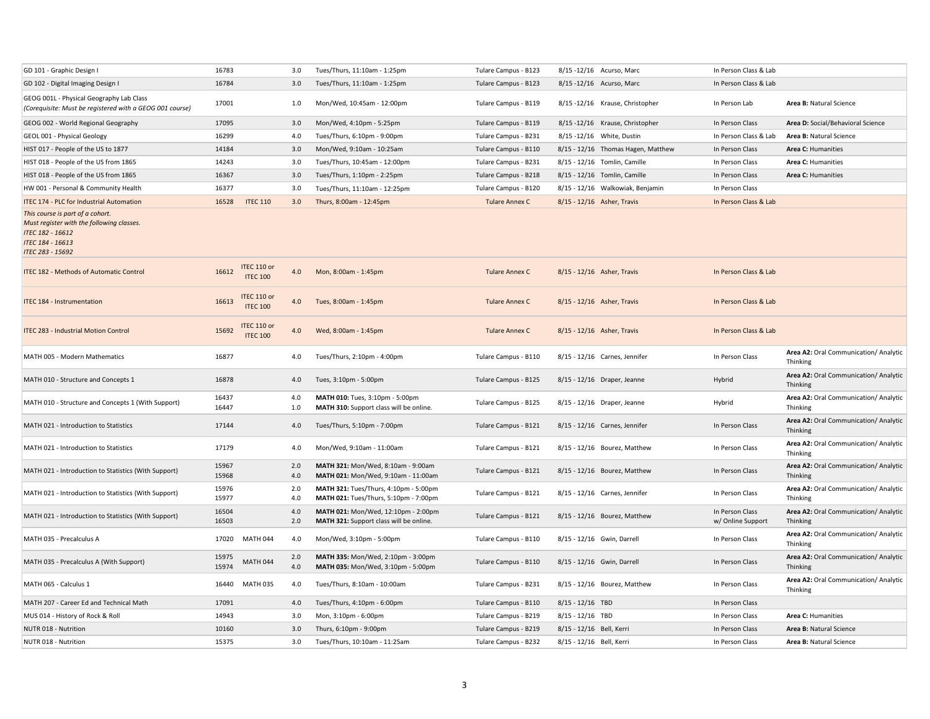| GD 101 - Graphic Design I                                                                                                                                      | 16783          |                                | 3.0        | Tues/Thurs, 11:10am - 1:25pm                                                   | Tulare Campus - B123  | 8/15 - 12/16 Acurso, Marc          | In Person Class & Lab                |                                                   |
|----------------------------------------------------------------------------------------------------------------------------------------------------------------|----------------|--------------------------------|------------|--------------------------------------------------------------------------------|-----------------------|------------------------------------|--------------------------------------|---------------------------------------------------|
| GD 102 - Digital Imaging Design I                                                                                                                              | 16784          |                                | 3.0        | Tues/Thurs, 11:10am - 1:25pm                                                   | Tulare Campus - B123  | 8/15 -12/16 Acurso, Marc           | In Person Class & Lab                |                                                   |
| GEOG 001L - Physical Geography Lab Class<br>(Corequisite: Must be registered with a GEOG 001 course)                                                           | 17001          |                                | 1.0        | Mon/Wed, 10:45am - 12:00pm                                                     | Tulare Campus - B119  | 8/15 -12/16 Krause, Christopher    | In Person Lab                        | Area B: Natural Science                           |
| GEOG 002 - World Regional Geography                                                                                                                            | 17095          |                                | 3.0        | Mon/Wed, 4:10pm - 5:25pm                                                       | Tulare Campus - B119  | 8/15 -12/16 Krause, Christopher    | In Person Class                      | Area D: Social/Behavioral Science                 |
| GEOL 001 - Physical Geology                                                                                                                                    | 16299          |                                | 4.0        | Tues/Thurs, 6:10pm - 9:00pm                                                    | Tulare Campus - B231  | 8/15 - 12/16 White, Dustin         | In Person Class & Lab                | Area B: Natural Science                           |
| HIST 017 - People of the US to 1877                                                                                                                            | 14184          |                                | 3.0        | Mon/Wed, 9:10am - 10:25am                                                      | Tulare Campus - B110  | 8/15 - 12/16 Thomas Hagen, Matthew | In Person Class                      | Area C: Humanities                                |
| HIST 018 - People of the US from 1865                                                                                                                          | 14243          |                                | 3.0        | Tues/Thurs, 10:45am - 12:00pm                                                  | Tulare Campus - B231  | 8/15 - 12/16 Tomlin, Camille       | In Person Class                      | Area C: Humanities                                |
| HIST 018 - People of the US from 1865                                                                                                                          | 16367          |                                | 3.0        | Tues/Thurs, 1:10pm - 2:25pm                                                    | Tulare Campus - B218  | 8/15 - 12/16 Tomlin, Camille       | In Person Class                      | Area C: Humanities                                |
| HW 001 - Personal & Community Health                                                                                                                           | 16377          |                                | 3.0        | Tues/Thurs, 11:10am - 12:25pm                                                  | Tulare Campus - B120  | 8/15 - 12/16 Walkowiak, Benjamin   | In Person Class                      |                                                   |
| <b>ITEC 174 - PLC for Industrial Automation</b>                                                                                                                | 16528          | <b>ITEC 110</b>                | 3.0        | Thurs, 8:00am - 12:45pm                                                        | <b>Tulare Annex C</b> | 8/15 - 12/16 Asher, Travis         | In Person Class & Lab                |                                                   |
| This course is part of a cohort.<br>Must register with the following classes.<br><b>ITEC 182 - 16612</b><br><b>ITEC 184 - 16613</b><br><b>ITEC 283 - 15692</b> |                |                                |            |                                                                                |                       |                                    |                                      |                                                   |
| <b>ITEC 182 - Methods of Automatic Control</b>                                                                                                                 | 16612          | ITEC 110 or<br><b>ITEC 100</b> | 4.0        | Mon, 8:00am - 1:45pm                                                           | Tulare Annex C        | 8/15 - 12/16 Asher, Travis         | In Person Class & Lab                |                                                   |
| <b>ITEC 184 - Instrumentation</b>                                                                                                                              | 16613          | ITEC 110 or<br><b>ITEC 100</b> | 4.0        | Tues, 8:00am - 1:45pm                                                          | <b>Tulare Annex C</b> | 8/15 - 12/16 Asher, Travis         | In Person Class & Lab                |                                                   |
| <b>ITEC 283 - Industrial Motion Control</b>                                                                                                                    | 15692          | ITEC 110 or<br><b>ITEC 100</b> | 4.0        | Wed, 8:00am - 1:45pm                                                           | <b>Tulare Annex C</b> | 8/15 - 12/16 Asher, Travis         | In Person Class & Lab                |                                                   |
| MATH 005 - Modern Mathematics                                                                                                                                  | 16877          |                                | 4.0        | Tues/Thurs, 2:10pm - 4:00pm                                                    | Tulare Campus - B110  | 8/15 - 12/16 Carnes, Jennifer      | In Person Class                      | Area A2: Oral Communication/ Analytic<br>Thinking |
| MATH 010 - Structure and Concepts 1                                                                                                                            | 16878          |                                | 4.0        | Tues, 3:10pm - 5:00pm                                                          | Tulare Campus - B125  | 8/15 - 12/16 Draper, Jeanne        | Hybrid                               | Area A2: Oral Communication/ Analytic<br>Thinking |
| MATH 010 - Structure and Concepts 1 (With Support)                                                                                                             | 16437<br>16447 |                                | 4.0<br>1.0 | MATH 010: Tues, 3:10pm - 5:00pm<br>MATH 310: Support class will be online.     | Tulare Campus - B125  | 8/15 - 12/16 Draper, Jeanne        | Hybrid                               | Area A2: Oral Communication/ Analytic<br>Thinking |
| MATH 021 - Introduction to Statistics                                                                                                                          | 17144          |                                | 4.0        | Tues/Thurs, 5:10pm - 7:00pm                                                    | Tulare Campus - B121  | 8/15 - 12/16 Carnes, Jennifer      | In Person Class                      | Area A2: Oral Communication/ Analytic<br>Thinking |
| MATH 021 - Introduction to Statistics                                                                                                                          | 17179          |                                | 4.0        | Mon/Wed, 9:10am - 11:00am                                                      | Tulare Campus - B121  | 8/15 - 12/16 Bourez, Matthew       | In Person Class                      | Area A2: Oral Communication/ Analytic<br>Thinking |
| MATH 021 - Introduction to Statistics (With Support)                                                                                                           | 15967<br>15968 |                                | 2.0<br>4.0 | MATH 321: Mon/Wed, 8:10am - 9:00am<br>MATH 021: Mon/Wed, 9:10am - 11:00am      | Tulare Campus - B121  | 8/15 - 12/16 Bourez, Matthew       | In Person Class                      | Area A2: Oral Communication/ Analytic<br>Thinking |
| MATH 021 - Introduction to Statistics (With Support)                                                                                                           | 15976<br>15977 |                                | 2.0<br>4.0 | MATH 321: Tues/Thurs, 4:10pm - 5:00pm<br>MATH 021: Tues/Thurs, 5:10pm - 7:00pm | Tulare Campus - B121  | 8/15 - 12/16 Carnes, Jennifer      | In Person Class                      | Area A2: Oral Communication/ Analytic<br>Thinking |
| MATH 021 - Introduction to Statistics (With Support)                                                                                                           | 16504<br>16503 |                                | 4.0<br>2.0 | MATH 021: Mon/Wed, 12:10pm - 2:00pm<br>MATH 321: Support class will be online. | Tulare Campus - B121  | 8/15 - 12/16 Bourez, Matthew       | In Person Class<br>w/ Online Support | Area A2: Oral Communication/ Analytic<br>Thinking |
| MATH 035 - Precalculus A                                                                                                                                       |                | 17020 MATH 044                 | 4.0        | Mon/Wed, 3:10pm - 5:00pm                                                       | Tulare Campus - B110  | 8/15 - 12/16 Gwin, Darrell         | In Person Class                      | Area A2: Oral Communication/ Analytic<br>Thinking |
| MATH 035 - Precalculus A (With Support)                                                                                                                        | 15975<br>15974 | <b>MATH 044</b>                | 2.0<br>4.0 | MATH 335: Mon/Wed, 2:10pm - 3:00pm<br>MATH 035: Mon/Wed, 3:10pm - 5:00pm       | Tulare Campus - B110  | 8/15 - 12/16 Gwin, Darrell         | In Person Class                      | Area A2: Oral Communication/ Analytic<br>Thinking |
| MATH 065 - Calculus 1                                                                                                                                          | 16440          | <b>MATH 035</b>                | 4.0        | Tues/Thurs, 8:10am - 10:00am                                                   | Tulare Campus - B231  | 8/15 - 12/16 Bourez, Matthew       | In Person Class                      | Area A2: Oral Communication/ Analytic<br>Thinking |
| MATH 207 - Career Ed and Technical Math                                                                                                                        | 17091          |                                | 4.0        | Tues/Thurs, 4:10pm - 6:00pm                                                    | Tulare Campus - B110  | $8/15 - 12/16$ TBD                 | In Person Class                      |                                                   |
| MUS 014 - History of Rock & Roll                                                                                                                               | 14943          |                                | 3.0        | Mon, 3:10pm - 6:00pm                                                           | Tulare Campus - B219  | 8/15 - 12/16 TBD                   | In Person Class                      | Area C: Humanities                                |
| NUTR 018 - Nutrition                                                                                                                                           | 10160          |                                | 3.0        | Thurs, 6:10pm - 9:00pm                                                         | Tulare Campus - B219  | 8/15 - 12/16 Bell, Kerri           | In Person Class                      | Area B: Natural Science                           |
| NUTR 018 - Nutrition                                                                                                                                           | 15375          |                                | 3.0        | Tues/Thurs, 10:10am - 11:25am                                                  | Tulare Campus - B232  | 8/15 - 12/16 Bell, Kerri           | In Person Class                      | Area B: Natural Science                           |
|                                                                                                                                                                |                |                                |            |                                                                                |                       |                                    |                                      |                                                   |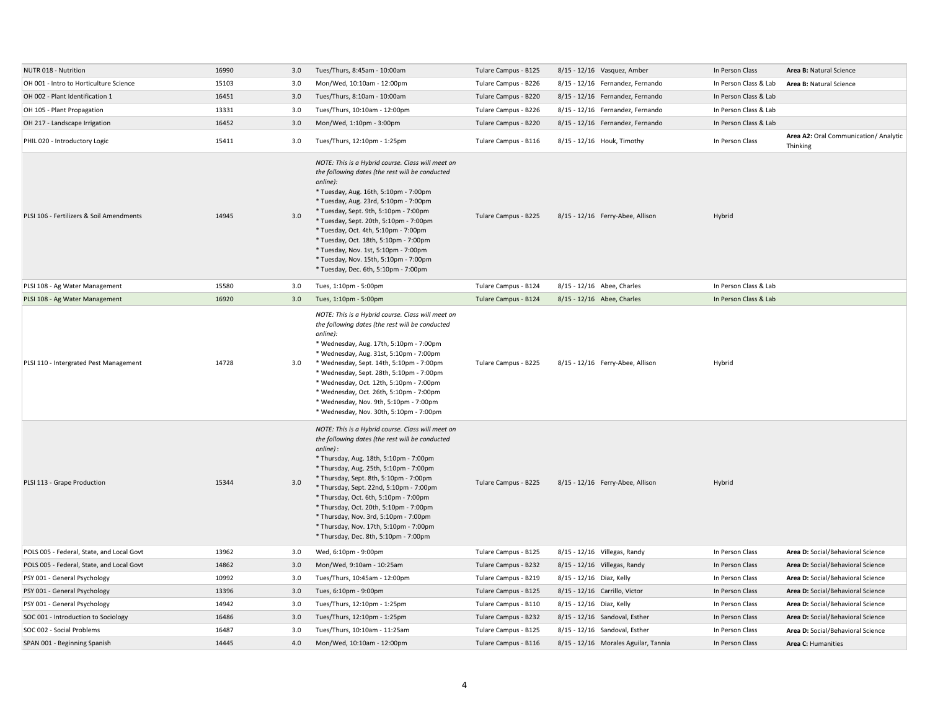| NUTR 018 - Nutrition                      | 16990 | 3.0 | Tues/Thurs, 8:45am - 10:00am                                                                                                                                                                                                                                                                                                                                                                                                                                                                             | Tulare Campus - B125 | 8/15 - 12/16 Vasquez, Amber          | In Person Class       | Area B: Natural Science                           |
|-------------------------------------------|-------|-----|----------------------------------------------------------------------------------------------------------------------------------------------------------------------------------------------------------------------------------------------------------------------------------------------------------------------------------------------------------------------------------------------------------------------------------------------------------------------------------------------------------|----------------------|--------------------------------------|-----------------------|---------------------------------------------------|
| OH 001 - Intro to Horticulture Science    | 15103 | 3.0 | Mon/Wed, 10:10am - 12:00pm                                                                                                                                                                                                                                                                                                                                                                                                                                                                               | Tulare Campus - B226 | 8/15 - 12/16 Fernandez, Fernando     | In Person Class & Lab | Area B: Natural Science                           |
| OH 002 - Plant Identification 1           | 16451 | 3.0 | Tues/Thurs, 8:10am - 10:00am                                                                                                                                                                                                                                                                                                                                                                                                                                                                             | Tulare Campus - B220 | 8/15 - 12/16 Fernandez, Fernando     | In Person Class & Lab |                                                   |
| OH 105 - Plant Propagation                | 13331 | 3.0 | Tues/Thurs, 10:10am - 12:00pm                                                                                                                                                                                                                                                                                                                                                                                                                                                                            | Tulare Campus - B226 | 8/15 - 12/16 Fernandez, Fernando     | In Person Class & Lab |                                                   |
| OH 217 - Landscape Irrigation             | 16452 | 3.0 | Mon/Wed, 1:10pm - 3:00pm                                                                                                                                                                                                                                                                                                                                                                                                                                                                                 | Tulare Campus - B220 | 8/15 - 12/16 Fernandez, Fernando     | In Person Class & Lab |                                                   |
| PHIL 020 - Introductory Logic             | 15411 | 3.0 | Tues/Thurs, 12:10pm - 1:25pm                                                                                                                                                                                                                                                                                                                                                                                                                                                                             | Tulare Campus - B116 | 8/15 - 12/16 Houk, Timothy           | In Person Class       | Area A2: Oral Communication/ Analytic<br>Thinking |
| PLSI 106 - Fertilizers & Soil Amendments  | 14945 | 3.0 | NOTE: This is a Hybrid course. Class will meet on<br>the following dates (the rest will be conducted<br>online):<br>* Tuesday, Aug. 16th, 5:10pm - 7:00pm<br>* Tuesday, Aug. 23rd, 5:10pm - 7:00pm<br>* Tuesday, Sept. 9th, 5:10pm - 7:00pm<br>* Tuesday, Sept. 20th, 5:10pm - 7:00pm<br>* Tuesday, Oct. 4th, 5:10pm - 7:00pm<br>* Tuesday, Oct. 18th, 5:10pm - 7:00pm<br>* Tuesday, Nov. 1st, 5:10pm - 7:00pm<br>* Tuesday, Nov. 15th, 5:10pm - 7:00pm<br>* Tuesday, Dec. 6th, 5:10pm - 7:00pm          | Tulare Campus - B225 | 8/15 - 12/16 Ferry-Abee, Allison     | Hybrid                |                                                   |
| PLSI 108 - Ag Water Management            | 15580 | 3.0 | Tues, 1:10pm - 5:00pm                                                                                                                                                                                                                                                                                                                                                                                                                                                                                    | Tulare Campus - B124 | 8/15 - 12/16 Abee, Charles           | In Person Class & Lab |                                                   |
| PLSI 108 - Ag Water Management            | 16920 | 3.0 | Tues, 1:10pm - 5:00pm                                                                                                                                                                                                                                                                                                                                                                                                                                                                                    | Tulare Campus - B124 | 8/15 - 12/16 Abee, Charles           | In Person Class & Lab |                                                   |
| PLSI 110 - Intergrated Pest Management    | 14728 | 3.0 | NOTE: This is a Hybrid course. Class will meet on<br>the following dates (the rest will be conducted<br>online):<br>* Wednesday, Aug. 17th, 5:10pm - 7:00pm<br>* Wednesday, Aug. 31st, 5:10pm - 7:00pm<br>* Wednesday, Sept. 14th, 5:10pm - 7:00pm<br>* Wednesday, Sept. 28th, 5:10pm - 7:00pm<br>* Wednesday, Oct. 12th, 5:10pm - 7:00pm<br>* Wednesday, Oct. 26th, 5:10pm - 7:00pm<br>* Wednesday, Nov. 9th, 5:10pm - 7:00pm<br>* Wednesday, Nov. 30th, 5:10pm - 7:00pm                                | Tulare Campus - B225 | 8/15 - 12/16 Ferry-Abee, Allison     | Hybrid                |                                                   |
| PLSI 113 - Grape Production               | 15344 | 3.0 | NOTE: This is a Hybrid course. Class will meet on<br>the following dates (the rest will be conducted<br>online):<br>* Thursday, Aug. 18th, 5:10pm - 7:00pm<br>* Thursday, Aug. 25th, 5:10pm - 7:00pm<br>* Thursday, Sept. 8th, 5:10pm - 7:00pm<br>* Thursday, Sept. 22nd, 5:10pm - 7:00pm<br>* Thursday, Oct. 6th, 5:10pm - 7:00pm<br>* Thursday, Oct. 20th, 5:10pm - 7:00pm<br>* Thursday, Nov. 3rd, 5:10pm - 7:00pm<br>* Thursday, Nov. 17th, 5:10pm - 7:00pm<br>* Thursday, Dec. 8th, 5:10pm - 7:00pm | Tulare Campus - B225 | 8/15 - 12/16 Ferry-Abee, Allison     | Hybrid                |                                                   |
| POLS 005 - Federal, State, and Local Govt | 13962 | 3.0 | Wed, 6:10pm - 9:00pm                                                                                                                                                                                                                                                                                                                                                                                                                                                                                     | Tulare Campus - B125 | 8/15 - 12/16 Villegas, Randy         | In Person Class       | Area D: Social/Behavioral Science                 |
| POLS 005 - Federal, State, and Local Govt | 14862 | 3.0 | Mon/Wed, 9:10am - 10:25am                                                                                                                                                                                                                                                                                                                                                                                                                                                                                | Tulare Campus - B232 | $8/15 - 12/16$ Villegas, Randy       | In Person Class       | Area D: Social/Behavioral Science                 |
| PSY 001 - General Psychology              | 10992 | 3.0 | Tues/Thurs, 10:45am - 12:00pm                                                                                                                                                                                                                                                                                                                                                                                                                                                                            | Tulare Campus - B219 | 8/15 - 12/16 Diaz, Kelly             | In Person Class       | Area D: Social/Behavioral Science                 |
| PSY 001 - General Psychology              | 13396 | 3.0 | Tues, 6:10pm - 9:00pm                                                                                                                                                                                                                                                                                                                                                                                                                                                                                    | Tulare Campus - B125 | 8/15 - 12/16 Carrillo, Victor        | In Person Class       | Area D: Social/Behavioral Science                 |
| PSY 001 - General Psychology              | 14942 | 3.0 | Tues/Thurs, 12:10pm - 1:25pm                                                                                                                                                                                                                                                                                                                                                                                                                                                                             | Tulare Campus - B110 | 8/15 - 12/16 Diaz, Kelly             | In Person Class       | Area D: Social/Behavioral Science                 |
| SOC 001 - Introduction to Sociology       | 16486 | 3.0 | Tues/Thurs, 12:10pm - 1:25pm                                                                                                                                                                                                                                                                                                                                                                                                                                                                             | Tulare Campus - B232 | 8/15 - 12/16 Sandoval, Esther        | In Person Class       | Area D: Social/Behavioral Science                 |
| SOC 002 - Social Problems                 | 16487 | 3.0 | Tues/Thurs, 10:10am - 11:25am                                                                                                                                                                                                                                                                                                                                                                                                                                                                            | Tulare Campus - B125 | 8/15 - 12/16 Sandoval, Esther        | In Person Class       | Area D: Social/Behavioral Science                 |
| SPAN 001 - Beginning Spanish              | 14445 | 4.0 | Mon/Wed, 10:10am - 12:00pm                                                                                                                                                                                                                                                                                                                                                                                                                                                                               | Tulare Campus - B116 | 8/15 - 12/16 Morales Aguilar, Tannia | In Person Class       | Area C: Humanities                                |